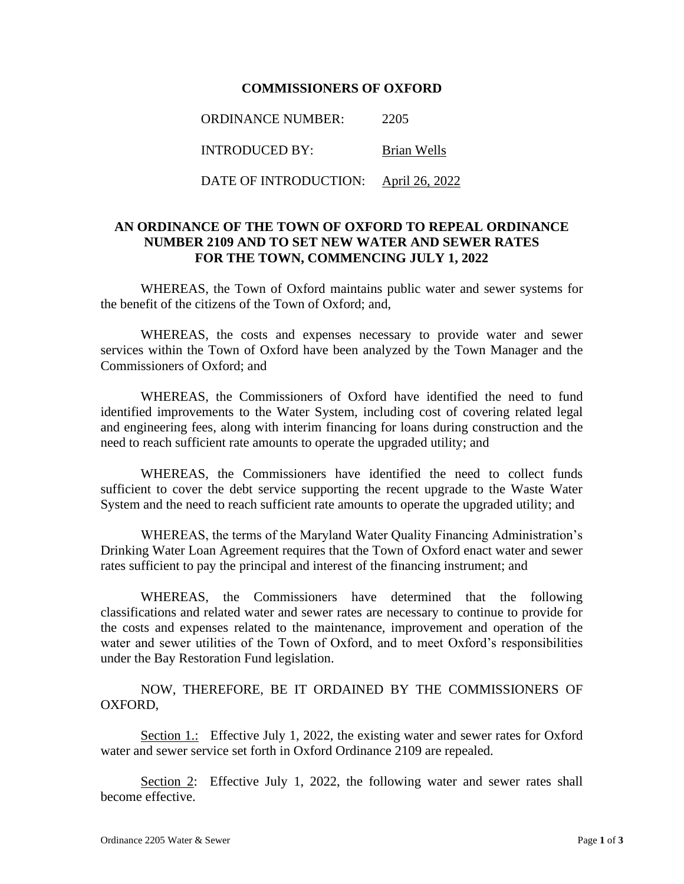## **COMMISSIONERS OF OXFORD**

ORDINANCE NUMBER: 2205 INTRODUCED BY: Brian Wells DATE OF INTRODUCTION: April 26, 2022

## **AN ORDINANCE OF THE TOWN OF OXFORD TO REPEAL ORDINANCE NUMBER 2109 AND TO SET NEW WATER AND SEWER RATES FOR THE TOWN, COMMENCING JULY 1, 2022**

WHEREAS, the Town of Oxford maintains public water and sewer systems for the benefit of the citizens of the Town of Oxford; and,

WHEREAS, the costs and expenses necessary to provide water and sewer services within the Town of Oxford have been analyzed by the Town Manager and the Commissioners of Oxford; and

WHEREAS, the Commissioners of Oxford have identified the need to fund identified improvements to the Water System, including cost of covering related legal and engineering fees, along with interim financing for loans during construction and the need to reach sufficient rate amounts to operate the upgraded utility; and

WHEREAS, the Commissioners have identified the need to collect funds sufficient to cover the debt service supporting the recent upgrade to the Waste Water System and the need to reach sufficient rate amounts to operate the upgraded utility; and

WHEREAS, the terms of the Maryland Water Quality Financing Administration's Drinking Water Loan Agreement requires that the Town of Oxford enact water and sewer rates sufficient to pay the principal and interest of the financing instrument; and

WHEREAS, the Commissioners have determined that the following classifications and related water and sewer rates are necessary to continue to provide for the costs and expenses related to the maintenance, improvement and operation of the water and sewer utilities of the Town of Oxford, and to meet Oxford's responsibilities under the Bay Restoration Fund legislation.

NOW, THEREFORE, BE IT ORDAINED BY THE COMMISSIONERS OF OXFORD,

Section 1.: Effective July 1, 2022, the existing water and sewer rates for Oxford water and sewer service set forth in Oxford Ordinance 2109 are repealed.

Section 2: Effective July 1, 2022, the following water and sewer rates shall become effective.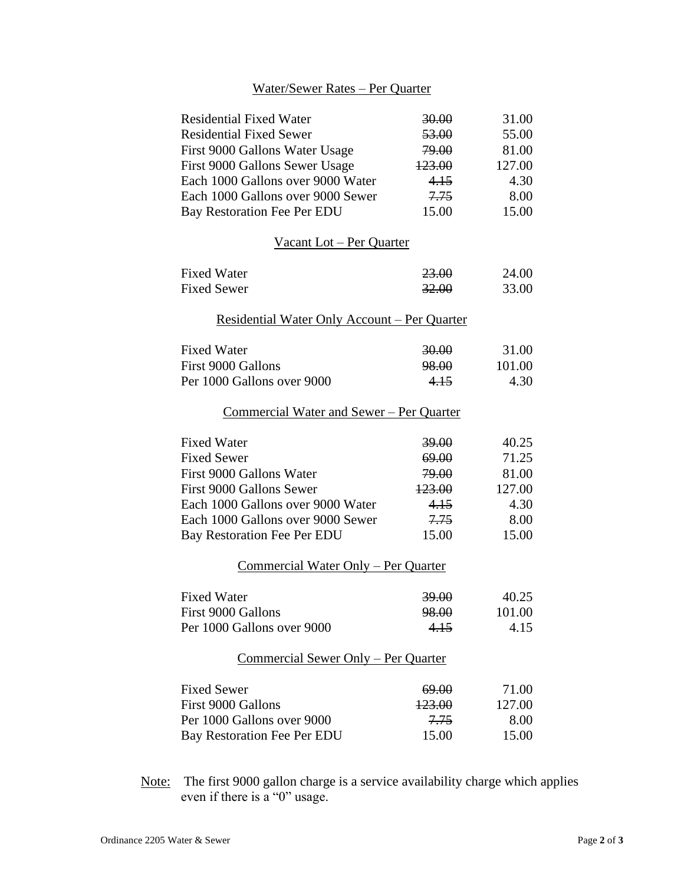## Water/Sewer Rates – Per Quarter

| <b>Residential Fixed Water</b>                       | 30.00             | 31.00  |
|------------------------------------------------------|-------------------|--------|
| <b>Residential Fixed Sewer</b>                       | 53.00             | 55.00  |
| First 9000 Gallons Water Usage                       | 79.00             | 81.00  |
| First 9000 Gallons Sewer Usage                       | 123.00            | 127.00 |
| Each 1000 Gallons over 9000 Water                    | 4.15              | 4.30   |
| Each 1000 Gallons over 9000 Sewer                    | 7.75              | 8.00   |
| Bay Restoration Fee Per EDU                          | 15.00             | 15.00  |
| Vacant Lot - Per Quarter                             |                   |        |
| <b>Fixed Water</b>                                   | 23.00             | 24.00  |
| <b>Fixed Sewer</b>                                   | 32.00             | 33.00  |
| <u> Residential Water Only Account – Per Quarter</u> |                   |        |
| <b>Fixed Water</b>                                   | 30.00             | 31.00  |
| First 9000 Gallons                                   | 98.00             | 101.00 |
| Per 1000 Gallons over 9000                           | 4.15              | 4.30   |
| Commercial Water and Sewer – Per Quarter             |                   |        |
| <b>Fixed Water</b>                                   | <u>39.00 </u>     | 40.25  |
| <b>Fixed Sewer</b>                                   | 69.00             | 71.25  |
| First 9000 Gallons Water                             | 79.00             | 81.00  |
| First 9000 Gallons Sewer                             | 123.00            | 127.00 |
| Each 1000 Gallons over 9000 Water                    | 4.15              | 4.30   |
| Each 1000 Gallons over 9000 Sewer                    | 7.75              | 8.00   |
| Bay Restoration Fee Per EDU                          | 15.00             | 15.00  |
| <u>Commercial Water Only – Per Quarter</u>           |                   |        |
| <b>Fixed Water</b>                                   | 39.00             | 40.25  |
| First 9000 Gallons                                   | 98.00             | 101.00 |
| Per 1000 Gallons over 9000                           | 4.15              | 4.15   |
| Commercial Sewer Only – Per Quarter                  |                   |        |
| <b>Fixed Sewer</b>                                   | 69.00             | 71.00  |
| First 9000 Gallons                                   | <del>123.00</del> | 127.00 |
| Per 1000 Gallons over 9000                           | 7.75              | 8.00   |
| Bay Restoration Fee Per EDU                          | 15.00             | 15.00  |
|                                                      |                   |        |

Note: The first 9000 gallon charge is a service availability charge which applies even if there is a "0" usage.